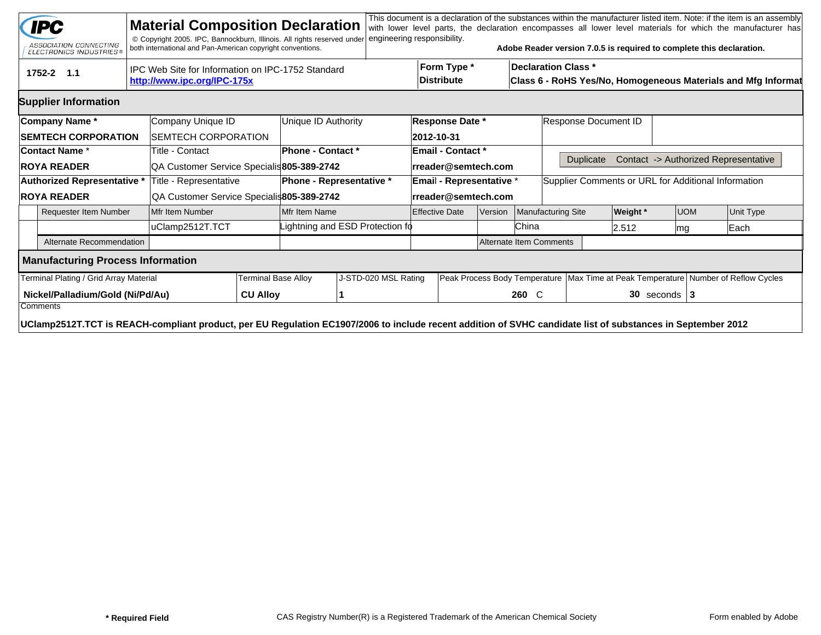|                                              | <b>IPC</b><br>ASSOCIATION CONNECTING<br>ELECTRONICS INDUSTRIES®                                                                                             |                                                                                  | <b>Material Composition Declaration</b><br>© Copyright 2005. IPC, Bannockburn, Illinois. All rights reserved under<br>both international and Pan-American copyright conventions. |  |                                 | engineering responsibility.     |  |                                  |  |                         | Adobe Reader version 7.0.5 is required to complete this declaration.                        |                 |            |  | This document is a declaration of the substances within the manufacturer listed item. Note: if the item is an assembly<br>with lower level parts, the declaration encompasses all lower level materials for which the manufacturer has |  |
|----------------------------------------------|-------------------------------------------------------------------------------------------------------------------------------------------------------------|----------------------------------------------------------------------------------|----------------------------------------------------------------------------------------------------------------------------------------------------------------------------------|--|---------------------------------|---------------------------------|--|----------------------------------|--|-------------------------|---------------------------------------------------------------------------------------------|-----------------|------------|--|----------------------------------------------------------------------------------------------------------------------------------------------------------------------------------------------------------------------------------------|--|
|                                              | 1752-2 1.1                                                                                                                                                  | IPC Web Site for Information on IPC-1752 Standard<br>http://www.ipc.org/IPC-175x |                                                                                                                                                                                  |  |                                 |                                 |  | Form Type *<br><b>Distribute</b> |  |                         | <b>Declaration Class *</b><br>Class 6 - RoHS Yes/No, Homogeneous Materials and Mfg Informat |                 |            |  |                                                                                                                                                                                                                                        |  |
|                                              | <b>Supplier Information</b>                                                                                                                                 |                                                                                  |                                                                                                                                                                                  |  |                                 |                                 |  |                                  |  |                         |                                                                                             |                 |            |  |                                                                                                                                                                                                                                        |  |
|                                              | Company Name*                                                                                                                                               |                                                                                  | Company Unique ID                                                                                                                                                                |  | Unique ID Authority             | <b>Response Date *</b>          |  |                                  |  | Response Document ID    |                                                                                             |                 |            |  |                                                                                                                                                                                                                                        |  |
|                                              | <b>SEMTECH CORPORATION</b>                                                                                                                                  |                                                                                  | <b>SEMTECH CORPORATION</b>                                                                                                                                                       |  |                                 |                                 |  | 2012-10-31                       |  |                         |                                                                                             |                 |            |  |                                                                                                                                                                                                                                        |  |
|                                              | <b>Contact Name *</b>                                                                                                                                       |                                                                                  | Title - Contact                                                                                                                                                                  |  | Phone - Contact *               |                                 |  | Email - Contact *                |  |                         |                                                                                             |                 |            |  |                                                                                                                                                                                                                                        |  |
|                                              | <b>ROYA READER</b>                                                                                                                                          |                                                                                  | QA Customer Service Specialis 805-389-2742                                                                                                                                       |  |                                 |                                 |  | rreader@semtech.com              |  |                         | <b>Duplicate</b>                                                                            |                 |            |  | Contact -> Authorized Representative                                                                                                                                                                                                   |  |
|                                              | Authorized Representative *                                                                                                                                 |                                                                                  | Title - Representative                                                                                                                                                           |  | <b>Phone - Representative *</b> |                                 |  | <b>Email - Representative *</b>  |  |                         | Supplier Comments or URL for Additional Information                                         |                 |            |  |                                                                                                                                                                                                                                        |  |
|                                              | <b>ROYA READER</b>                                                                                                                                          |                                                                                  | QA Customer Service Specialis805-389-2742                                                                                                                                        |  |                                 |                                 |  | rreader@semtech.com              |  |                         |                                                                                             |                 |            |  |                                                                                                                                                                                                                                        |  |
|                                              | <b>Requester Item Number</b>                                                                                                                                |                                                                                  | Mfr Item Number                                                                                                                                                                  |  | Mfr Item Name                   |                                 |  | <b>Effective Date</b><br>Version |  |                         | <b>Manufacturing Site</b>                                                                   | <b>Weight</b> * | <b>UOM</b> |  | <b>Unit Type</b>                                                                                                                                                                                                                       |  |
|                                              |                                                                                                                                                             |                                                                                  | uClamp2512T.TCT                                                                                                                                                                  |  |                                 | Lightning and ESD Protection fo |  |                                  |  | China                   |                                                                                             | 2.512           | mg         |  | Each                                                                                                                                                                                                                                   |  |
|                                              | Alternate Recommendation                                                                                                                                    |                                                                                  |                                                                                                                                                                                  |  |                                 |                                 |  |                                  |  | Alternate Item Comments |                                                                                             |                 |            |  |                                                                                                                                                                                                                                        |  |
|                                              | <b>Manufacturing Process Information</b>                                                                                                                    |                                                                                  |                                                                                                                                                                                  |  |                                 |                                 |  |                                  |  |                         |                                                                                             |                 |            |  |                                                                                                                                                                                                                                        |  |
| Terminal Plating / Grid Array Material       |                                                                                                                                                             |                                                                                  | <b>Terminal Base Alloy</b>                                                                                                                                                       |  | J-STD-020 MSL Rating            |                                 |  |                                  |  |                         | Peak Process Body Temperature   Max Time at Peak Temperature   Number of Reflow Cycles      |                 |            |  |                                                                                                                                                                                                                                        |  |
| Nickel/Palladium/Gold (Ni/Pd/Au)<br>Comments |                                                                                                                                                             |                                                                                  | <b>CU Alloy</b>                                                                                                                                                                  |  |                                 |                                 |  |                                  |  | 260 C                   | $30$ seconds $3$                                                                            |                 |            |  |                                                                                                                                                                                                                                        |  |
|                                              | UClamp2512T.TCT is REACH-compliant product, per EU Regulation EC1907/2006 to include recent addition of SVHC candidate list of substances in September 2012 |                                                                                  |                                                                                                                                                                                  |  |                                 |                                 |  |                                  |  |                         |                                                                                             |                 |            |  |                                                                                                                                                                                                                                        |  |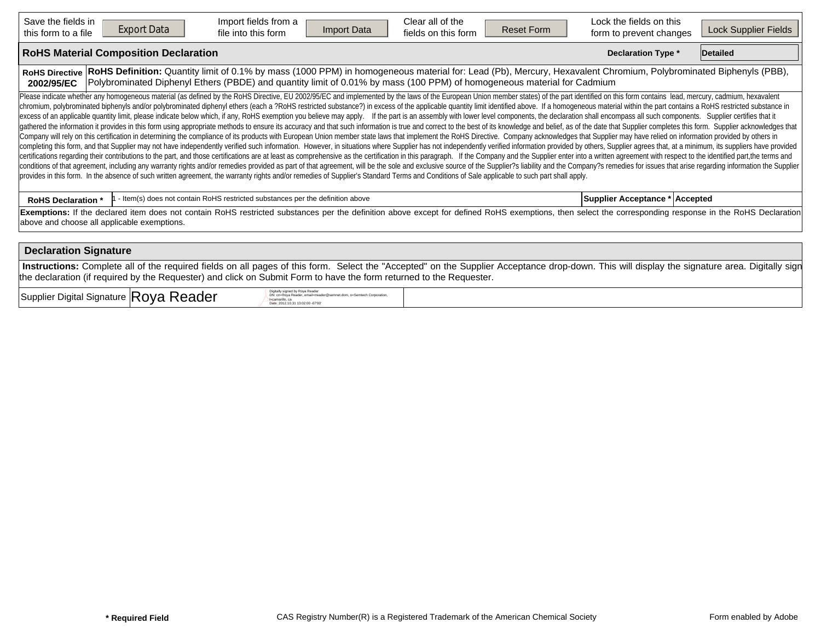| Save the fields in<br>this form to a file                                                                                                                                                                                                                                                                                                                                                                                                                                                                                                                                                                                                                                                                                                                                                                                                                                                                                                                                                                                                                                                                                                                                                                                                                                                                                                                                                                                                                                                                                                                                                                                                                                                                                                                                                                                                                                                                                                                                                                                                                                   | <b>Export Data</b>                           | Import fields from a<br>file into this form                                    | <b>Import Data</b> | Clear all of the<br>fields on this form | <b>Reset Form</b> | Lock the fields on this<br>form to prevent changes | Lock Supplier Fields |  |  |  |  |  |  |
|-----------------------------------------------------------------------------------------------------------------------------------------------------------------------------------------------------------------------------------------------------------------------------------------------------------------------------------------------------------------------------------------------------------------------------------------------------------------------------------------------------------------------------------------------------------------------------------------------------------------------------------------------------------------------------------------------------------------------------------------------------------------------------------------------------------------------------------------------------------------------------------------------------------------------------------------------------------------------------------------------------------------------------------------------------------------------------------------------------------------------------------------------------------------------------------------------------------------------------------------------------------------------------------------------------------------------------------------------------------------------------------------------------------------------------------------------------------------------------------------------------------------------------------------------------------------------------------------------------------------------------------------------------------------------------------------------------------------------------------------------------------------------------------------------------------------------------------------------------------------------------------------------------------------------------------------------------------------------------------------------------------------------------------------------------------------------------|----------------------------------------------|--------------------------------------------------------------------------------|--------------------|-----------------------------------------|-------------------|----------------------------------------------------|----------------------|--|--|--|--|--|--|
|                                                                                                                                                                                                                                                                                                                                                                                                                                                                                                                                                                                                                                                                                                                                                                                                                                                                                                                                                                                                                                                                                                                                                                                                                                                                                                                                                                                                                                                                                                                                                                                                                                                                                                                                                                                                                                                                                                                                                                                                                                                                             | <b>RoHS Material Composition Declaration</b> |                                                                                |                    |                                         |                   | <b>Declaration Type *</b>                          | <b>Detailed</b>      |  |  |  |  |  |  |
| RoHS Definition: Quantity limit of 0.1% by mass (1000 PPM) in homogeneous material for: Lead (Pb), Mercury, Hexavalent Chromium, Polybrominated Biphenyls (PBB),<br><b>RoHS Directive</b><br>Polybrominated Diphenyl Ethers (PBDE) and quantity limit of 0.01% by mass (100 PPM) of homogeneous material for Cadmium<br>2002/95/EC                                                                                                                                                                                                                                                                                                                                                                                                                                                                                                                                                                                                                                                                                                                                                                                                                                                                                                                                                                                                                                                                                                                                                                                                                                                                                                                                                                                                                                                                                                                                                                                                                                                                                                                                          |                                              |                                                                                |                    |                                         |                   |                                                    |                      |  |  |  |  |  |  |
| Please indicate whether any homogeneous material (as defined by the RoHS Directive, EU 2002/95/EC and implemented by the laws of the European Union member states) of the part identified on this form contains lead, mercury,<br>chromium, polybrominated biphenyls and/or polybrominated diphenyl ethers (each a ?RoHS restricted substance?) in excess of the applicable quantity limit identified above. If a homogeneous material within the part contains<br>excess of an applicable quantity limit, please indicate below which, if any, RoHS exemption you believe may apply. If the part is an assembly with lower level components, the declaration shall encompass all such components<br>gathered the information it provides in this form using appropriate methods to ensure its accuracy and that such information is true and correct to the best of its knowledge and belief, as of the date that Supplier complet<br>Company will rely on this certification in determining the compliance of its products with European Union member state laws that implement the RoHS Directive. Company acknowledges that Supplier may have relied on informati<br>completing this form, and that Supplier may not have independently verified such information. However, in situations where Supplier has not independently verified information provided by others, Supplier agrees that, at a<br>certifications regarding their contributions to the part, and those certifications are at least as comprehensive as the certification in this paragraph. If the Company and the Supplier enter into a written agreement with r<br>conditions of that agreement, including any warranty rights and/or remedies provided as part of that agreement, will be the sole and exclusive source of the Supplier?s liability and the Company?s remedies for issues that a<br>provides in this form. In the absence of such written agreement, the warranty rights and/or remedies of Supplier's Standard Terms and Conditions of Sale applicable to such part shall apply. |                                              |                                                                                |                    |                                         |                   |                                                    |                      |  |  |  |  |  |  |
| <b>RoHS Declaration *</b>                                                                                                                                                                                                                                                                                                                                                                                                                                                                                                                                                                                                                                                                                                                                                                                                                                                                                                                                                                                                                                                                                                                                                                                                                                                                                                                                                                                                                                                                                                                                                                                                                                                                                                                                                                                                                                                                                                                                                                                                                                                   |                                              | - Item(s) does not contain RoHS restricted substances per the definition above |                    |                                         |                   | Supplier Acceptance * Accepted                     |                      |  |  |  |  |  |  |
| Exemptions: If the declared item does not contain RoHS restricted substances per the definition above except for defined RoHS exemptions, then select the corresponding response in the RoHS Declaration<br>above and choose all applicable exemptions.                                                                                                                                                                                                                                                                                                                                                                                                                                                                                                                                                                                                                                                                                                                                                                                                                                                                                                                                                                                                                                                                                                                                                                                                                                                                                                                                                                                                                                                                                                                                                                                                                                                                                                                                                                                                                     |                                              |                                                                                |                    |                                         |                   |                                                    |                      |  |  |  |  |  |  |
|                                                                                                                                                                                                                                                                                                                                                                                                                                                                                                                                                                                                                                                                                                                                                                                                                                                                                                                                                                                                                                                                                                                                                                                                                                                                                                                                                                                                                                                                                                                                                                                                                                                                                                                                                                                                                                                                                                                                                                                                                                                                             | <b>Declaration Signature</b>                 |                                                                                |                    |                                         |                   |                                                    |                      |  |  |  |  |  |  |
| Instructions: Complete all of the required fields on all pages of this form. Select the "Accepted" on the Supplier Acceptance drop-down. This will display the signature area. Digitally sign                                                                                                                                                                                                                                                                                                                                                                                                                                                                                                                                                                                                                                                                                                                                                                                                                                                                                                                                                                                                                                                                                                                                                                                                                                                                                                                                                                                                                                                                                                                                                                                                                                                                                                                                                                                                                                                                               |                                              |                                                                                |                    |                                         |                   |                                                    |                      |  |  |  |  |  |  |

 $Supplier$  Digital Signature  $\mathsf{Roya}$  Reader  $\mathsf{R}{\mathsf{a}}$ 

DN: cn=Roya Reader, email=rreader@semnet.dom, o=Semtech Corporation,<br>l=camarillo, ca<br>Date: 2012.10.31 13:02:00 -07'00'

the declaration (if required by the Requester) and click on Submit Form to have the form returned to the Requester.